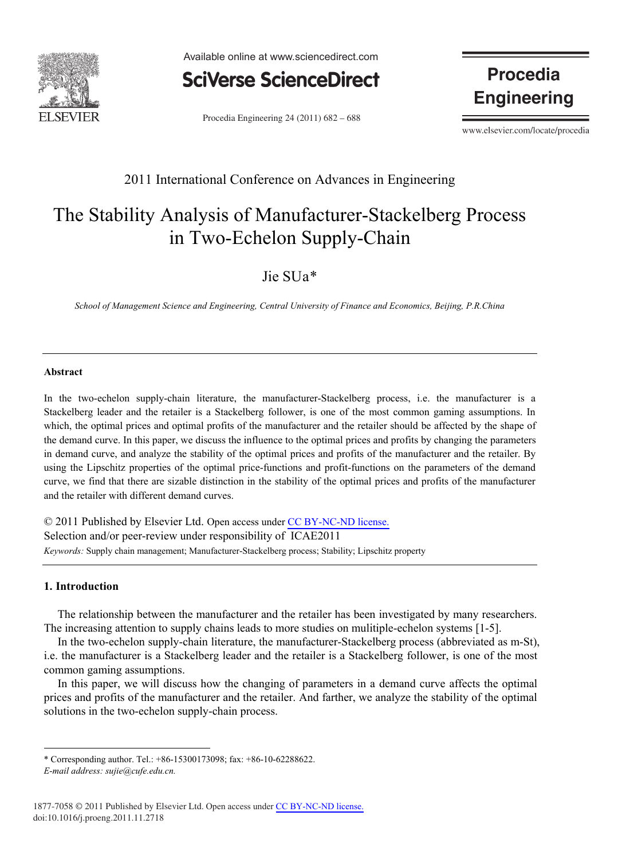

Available online at www.sciencedirect.com



Procedia Engineering  $24(2011)$  682 – 688

**Procedia Engineering**

www.elsevier.com/locate/procedia

## 2011 International Conference on Advances in Engineering

# The Stability Analysis of Manufacturer-Stackelberg Process in Two-Echelon Supply-Chain

### Jie SUa\*

*School of Management Science and Engineering, Central University of Finance and Economics, Beijing, P.R.China* 

#### **Abstract**

In the two-echelon supply-chain literature, the manufacturer-Stackelberg process, i.e. the manufacturer is a Stackelberg leader and the retailer is a Stackelberg follower, is one of the most common gaming assumptions. In which, the optimal prices and optimal profits of the manufacturer and the retailer should be affected by the shape of the demand curve. In this paper, we discuss the influence to the optimal prices and profits by changing the parameters in demand curve, and analyze the stability of the optimal prices and profits of the manufacturer and the retailer. By using the Lipschitz properties of the optimal price-functions and profit-functions on the parameters of the demand curve, we find that there are sizable distinction in the stability of the optimal prices and profits of the manufacturer and the retailer with different demand curves.

© 2011 Published by Elsevier Ltd. Open access under CC [BY-NC-ND license.](http://creativecommons.org/licenses/by-nc-nd/3.0/)Selection and/or peer-review under responsibility of ICAE2011 *Keywords:* Supply chain management; Manufacturer-Stackelberg process; Stability; Lipschitz property

#### **1. Introduction**

The relationship between the manufacturer and the retailer has been investigated by many researchers. The increasing attention to supply chains leads to more studies on mulitiple-echelon systems [1-5].

In the two-echelon supply-chain literature, the manufacturer-Stackelberg process (abbreviated as m-St), i.e. the manufacturer is a Stackelberg leader and the retailer is a Stackelberg follower, is one of the most common gaming assumptions.

In this paper, we will discuss how the changing of parameters in a demand curve affects the optimal prices and profits of the manufacturer and the retailer. And farther, we analyze the stability of the optimal solutions in the two-echelon supply-chain process.

<sup>\*</sup> Corresponding author. Tel.: +86-15300173098; fax: +86-10-62288622.

*E-mail address: sujie@cufe.edu.cn.*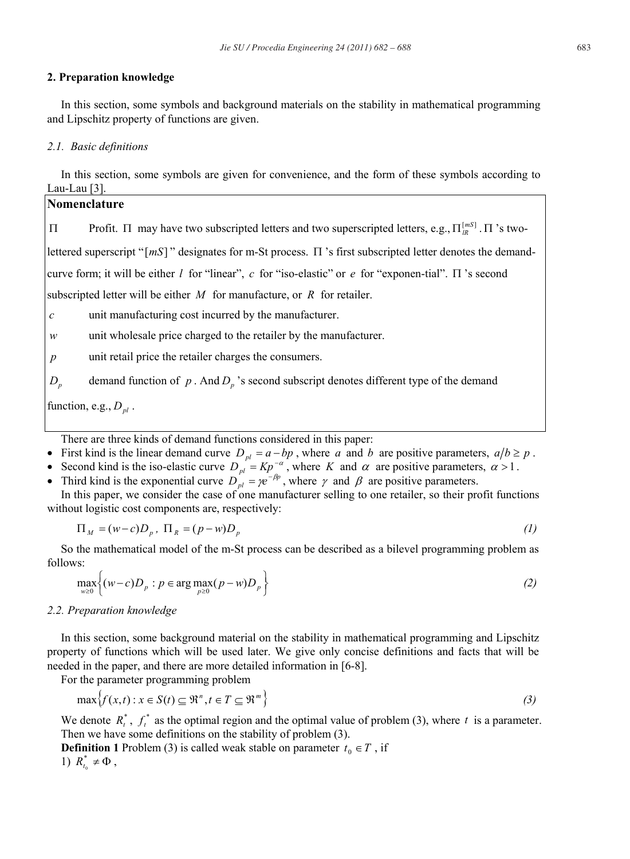#### **2. Preparation knowledge**

In this section, some symbols and background materials on the stability in mathematical programming and Lipschitz property of functions are given.

#### *2.1. Basic definitions*

In this section, some symbols are given for convenience, and the form of these symbols according to Lau-Lau [3].

### **Nomenclature**

 $\Pi$  Profit.  $\Pi$  may have two subscripted letters and two superscripted letters, e.g.,  $\Pi_{IR}^{[mS]}$ .  $\Pi$  's two-

lettered superscript " $[mS]$ " designates for m-St process.  $\Pi$  's first subscripted letter denotes the demand-

curve form; it will be either *l* for "linear", *c* for "iso-elastic" or *e* for "exponen-tial".  $\Pi$  's second

subscripted letter will be either *M* for manufacture, or *R* for retailer.

- *c* unit manufacturing cost incurred by the manufacturer.
- *w* unit wholesale price charged to the retailer by the manufacturer.
- *p* unit retail price the retailer charges the consumers.

*D<sub>p</sub>* demand function of *p* . And *D<sub>p</sub>* 's second subscript denotes different type of the demand

function, e.g.,  $D_{nl}$ .

There are three kinds of demand functions considered in this paper:

- First kind is the linear demand curve  $D_{pl} = a bp$ , where *a* and *b* are positive parameters,  $a/b \ge p$ .
- Second kind is the iso-elastic curve  $D_{pl} = Kp^{-\alpha}$ , where *K* and  $\alpha$  are positive parameters,  $\alpha > 1$ .

• Third kind is the exponential curve  $D_{pl}^{\dagger} = \gamma e^{-\beta p}$ , where  $\gamma$  and  $\beta$  are positive parameters.

In this paper, we consider the case of one manufacturer selling to one retailer, so their profit functions without logistic cost components are, respectively:

$$
\Pi_M = (w - c)D_p, \ \Pi_R = (p - w)D_p \tag{1}
$$

So the mathematical model of the m-St process can be described as a bilevel programming problem as follows:

$$
\max_{w\geq 0} \left\{ (w-c)D_p : p \in \arg\max_{p\geq 0} (p-w)D_p \right\} \tag{2}
$$

#### *2.2. Preparation knowledge*

In this section, some background material on the stability in mathematical programming and Lipschitz property of functions which will be used later. We give only concise definitions and facts that will be needed in the paper, and there are more detailed information in [6-8].

For the parameter programming problem

$$
\max \{ f(x,t) : x \in S(t) \subseteq \mathbb{R}^n, t \in T \subseteq \mathbb{R}^m \}
$$
\n
$$
(3)
$$

We denote  $R_t^*$ ,  $f_t^*$  as the optimal region and the optimal value of problem (3), where *t* is a parameter. Then we have some definitions on the stability of problem (3).

**Definition 1** Problem (3) is called weak stable on parameter  $t_0 \in T$ , if 1)  $R_{t_0}^* \neq \Phi$ ,